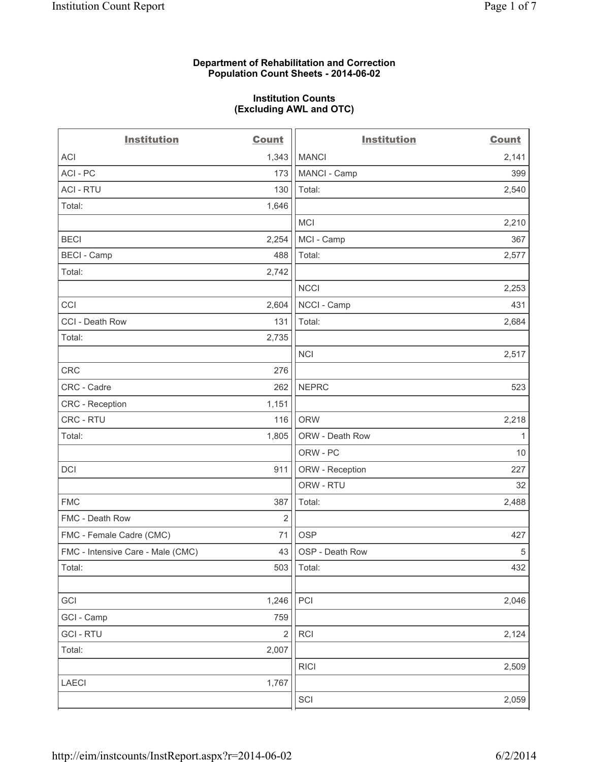# **Department of Rehabilitation and Correction Population Count Sheets - 2014-06-02**

# **Institution Counts (Excluding AWL and OTC)**

| <b>Institution</b>                | <b>Count</b>   | <b>Institution</b> | <b>Count</b> |
|-----------------------------------|----------------|--------------------|--------------|
| <b>ACI</b>                        | 1,343          | <b>MANCI</b>       | 2,141        |
| ACI - PC                          | 173            | MANCI - Camp       | 399          |
| <b>ACI - RTU</b>                  | 130            | Total:             | 2,540        |
| Total:                            | 1,646          |                    |              |
|                                   |                | <b>MCI</b>         | 2,210        |
| <b>BECI</b>                       | 2,254          | MCI - Camp         | 367          |
| <b>BECI - Camp</b>                | 488            | Total:             | 2,577        |
| Total:                            | 2,742          |                    |              |
|                                   |                | <b>NCCI</b>        | 2,253        |
| CCI                               | 2,604          | NCCI - Camp        | 431          |
| CCI - Death Row                   | 131            | Total:             | 2,684        |
| Total:                            | 2,735          |                    |              |
|                                   |                | <b>NCI</b>         | 2,517        |
| CRC                               | 276            |                    |              |
| CRC - Cadre                       | 262            | <b>NEPRC</b>       | 523          |
| <b>CRC</b> - Reception            | 1,151          |                    |              |
| CRC - RTU                         | 116            | <b>ORW</b>         | 2,218        |
| Total:                            | 1,805          | ORW - Death Row    | $\mathbf{1}$ |
|                                   |                | ORW - PC           | $10$         |
| <b>DCI</b>                        | 911            | ORW - Reception    | 227          |
|                                   |                | ORW - RTU          | 32           |
| <b>FMC</b>                        | 387            | Total:             | 2,488        |
| FMC - Death Row                   | $\overline{2}$ |                    |              |
| FMC - Female Cadre (CMC)          | 71             | <b>OSP</b>         | 427          |
| FMC - Intensive Care - Male (CMC) | 43             | OSP - Death Row    | $\sqrt{5}$   |
| Total:                            | 503            | Total:             | 432          |
|                                   |                |                    |              |
| GCI                               | 1,246          | PCI                | 2,046        |
| GCI - Camp                        | 759            |                    |              |
| <b>GCI-RTU</b>                    | $\overline{2}$ | <b>RCI</b>         | 2,124        |
| Total:                            | 2,007          |                    |              |
|                                   |                | <b>RICI</b>        | 2,509        |
| LAECI                             | 1,767          |                    |              |
|                                   |                | SCI                | 2,059        |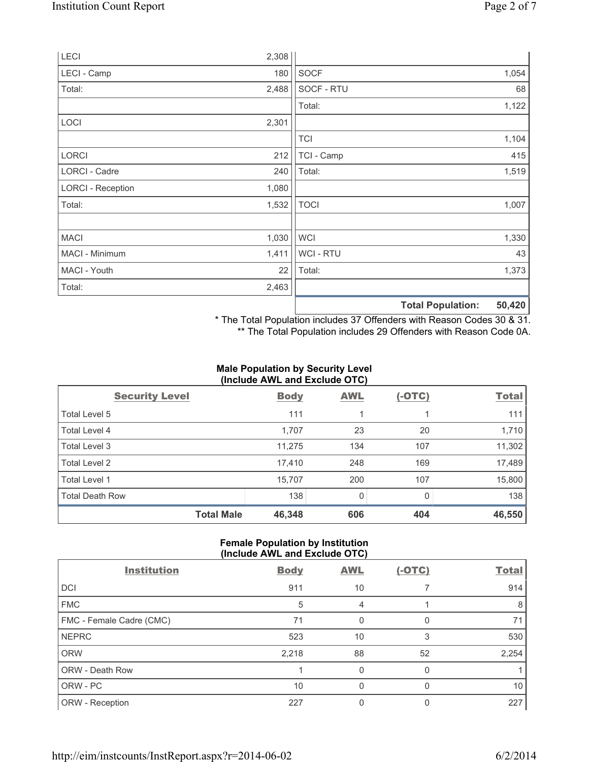| LECI                     | 2,308 |                |                          |        |
|--------------------------|-------|----------------|--------------------------|--------|
| LECI - Camp              | 180   | <b>SOCF</b>    |                          | 1,054  |
| Total:                   | 2,488 | SOCF - RTU     |                          | 68     |
|                          |       | Total:         |                          | 1,122  |
| LOCI                     | 2,301 |                |                          |        |
|                          |       | <b>TCI</b>     |                          | 1,104  |
| <b>LORCI</b>             | 212   | TCI - Camp     |                          | 415    |
| LORCI - Cadre            | 240   | Total:         |                          | 1,519  |
| <b>LORCI - Reception</b> | 1,080 |                |                          |        |
| Total:                   | 1,532 | <b>TOCI</b>    |                          | 1,007  |
|                          |       |                |                          |        |
| <b>MACI</b>              | 1,030 | <b>WCI</b>     |                          | 1,330  |
| MACI - Minimum           | 1,411 | <b>WCI-RTU</b> |                          | 43     |
| MACI - Youth             | 22    | Total:         |                          | 1,373  |
| Total:                   | 2,463 |                |                          |        |
|                          |       |                | <b>Total Population:</b> | 50,420 |

\* The Total Population includes 37 Offenders with Reason Codes 30 & 31.

\*\* The Total Population includes 29 Offenders with Reason Code 0A.

# **Male Population by Security Level (Include AWL and Exclude OTC)**

|                        | $\frac{1}{2}$ |            |          |              |
|------------------------|---------------|------------|----------|--------------|
| <b>Security Level</b>  | <b>Body</b>   | <b>AWL</b> | $(-OTC)$ | <b>Total</b> |
| Total Level 5          | 111           |            |          | 111          |
| Total Level 4          | 1,707         | 23         | 20       | 1,710        |
| Total Level 3          | 11,275        | 134        | 107      | 11,302       |
| Total Level 2          | 17,410        | 248        | 169      | 17,489       |
| <b>Total Level 1</b>   | 15,707        | 200        | 107      | 15,800       |
| <b>Total Death Row</b> | 138           | 0          | 0        | 138          |
| <b>Total Male</b>      | 46,348        | 606        | 404      | 46,550       |

# **Female Population by Institution (Include AWL and Exclude OTC)**

| <b>Institution</b>       | <b>Body</b> | <b>AWL</b> | $(-OTC)$ | <b>Total</b> |
|--------------------------|-------------|------------|----------|--------------|
| <b>DCI</b>               | 911         | 10         |          | 914          |
| <b>FMC</b>               | 5           | 4          |          | 8            |
| FMC - Female Cadre (CMC) | 71          | 0          | 0        | 71           |
| <b>NEPRC</b>             | 523         | 10         | 3        | 530          |
| <b>ORW</b>               | 2,218       | 88         | 52       | 2,254        |
| ORW - Death Row          |             | 0          | 0        |              |
| ORW - PC                 | 10          | 0          | 0        | 10           |
| ORW - Reception          | 227         | 0          |          | 227          |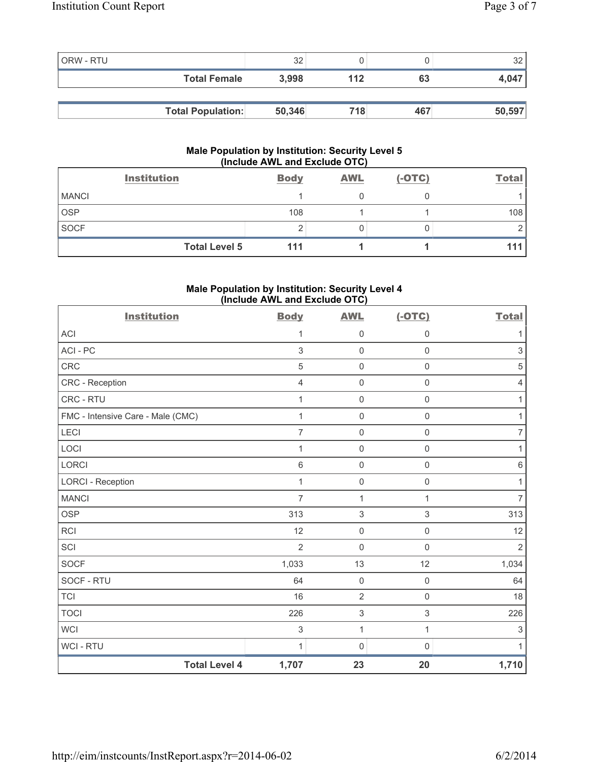| ORW - RTU |                          | 32     |     |     | 32     |
|-----------|--------------------------|--------|-----|-----|--------|
|           | <b>Total Female</b>      | 3.998  | 112 | 63  | 4,047  |
|           |                          |        |     |     |        |
|           | <b>Total Population:</b> | 50,346 | 718 | 467 | 50,597 |

# **Male Population by Institution: Security Level 5 (Include AWL and Exclude OTC)**

|              | <b>Institution</b>   | <b>Body</b> | <b>AWL</b> | $(-OTC)$ | <b>Total</b> |
|--------------|----------------------|-------------|------------|----------|--------------|
| <b>MANCI</b> |                      |             |            |          |              |
| <b>OSP</b>   |                      | 108         |            |          | 108          |
| <b>SOCF</b>  |                      |             |            |          |              |
|              | <b>Total Level 5</b> | 111         |            |          | 111          |

# **Male Population by Institution: Security Level 4 (Include AWL and Exclude OTC)**

| <b>Institution</b>                | <b>Body</b>    | <b>AWL</b>          | $(-OTC)$       | <b>Total</b>              |
|-----------------------------------|----------------|---------------------|----------------|---------------------------|
| ACI                               | 1              | 0                   | $\mathbf 0$    |                           |
| ACI-PC                            | $\mathfrak{S}$ | 0                   | $\mathbf 0$    | 3                         |
| <b>CRC</b>                        | $\sqrt{5}$     | $\mathsf{O}\xspace$ | $\mathsf 0$    | $\sqrt{5}$                |
| CRC - Reception                   | $\overline{4}$ | $\mathsf{O}\xspace$ | $\mathbf 0$    | 4                         |
| CRC - RTU                         | 1              | 0                   | $\mathsf 0$    | 1                         |
| FMC - Intensive Care - Male (CMC) | $\mathbf{1}$   | $\mathsf{O}\xspace$ | $\mathbf 0$    | 1                         |
| LECI                              | $\overline{7}$ | $\mathsf{O}\xspace$ | $\mathsf 0$    | 7                         |
| LOCI                              | $\mathbf{1}$   | 0                   | $\mathsf 0$    | 1                         |
| <b>LORCI</b>                      | $6\,$          | $\mathsf{O}\xspace$ | $\mathbf 0$    | 6                         |
| <b>LORCI - Reception</b>          | 1              | $\mathsf{O}\xspace$ | $\mathsf 0$    | 1                         |
| <b>MANCI</b>                      | $\overline{7}$ | $\mathbf{1}$        | 1              | $\overline{7}$            |
| <b>OSP</b>                        | 313            | $\mathsf 3$         | $\mathfrak{S}$ | 313                       |
| RCI                               | 12             | $\mathsf{O}\xspace$ | $\mathsf 0$    | 12                        |
| SCI                               | $\overline{2}$ | 0                   | $\mathbf 0$    | $\overline{2}$            |
| <b>SOCF</b>                       | 1,033          | 13                  | 12             | 1,034                     |
| SOCF - RTU                        | 64             | 0                   | $\mathsf 0$    | 64                        |
| <b>TCI</b>                        | 16             | $\overline{2}$      | $\mathbf 0$    | 18                        |
| <b>TOCI</b>                       | 226            | $\mathsf 3$         | $\mathfrak{Z}$ | 226                       |
| <b>WCI</b>                        | $\sqrt{3}$     | $\mathbf{1}$        | $\mathbf{1}$   | $\ensuremath{\mathsf{3}}$ |
| WCI - RTU                         | 1              | 0                   | $\mathbf 0$    | 1                         |
| <b>Total Level 4</b>              | 1,707          | 23                  | 20             | 1,710                     |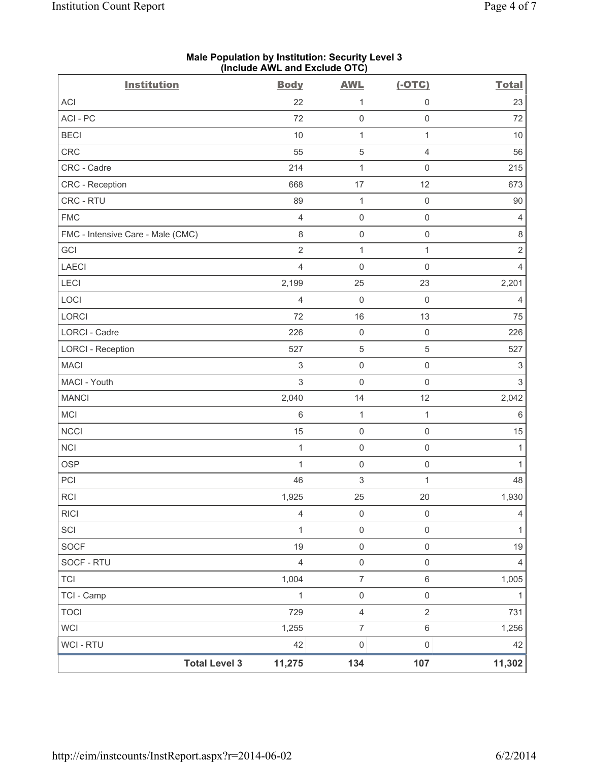| <b>Institution</b>                | (include AWL and Exclude OTC)<br><b>Body</b> | <b>AWL</b>                | $(-OTC)$            | <b>Total</b>              |
|-----------------------------------|----------------------------------------------|---------------------------|---------------------|---------------------------|
| ACI                               | 22                                           | 1                         | $\mathsf 0$         | 23                        |
| ACI-PC                            | 72                                           | $\mathsf{O}\xspace$       | $\mathsf 0$         | 72                        |
| <b>BECI</b>                       | $10$                                         | $\mathbf 1$               | $\mathbf{1}$        | $10$                      |
| <b>CRC</b>                        | 55                                           | $\,$ 5 $\,$               | $\overline{4}$      | 56                        |
| CRC - Cadre                       | 214                                          | 1                         | $\mathsf{O}\xspace$ | 215                       |
| CRC - Reception                   | 668                                          | $17$                      | 12                  | 673                       |
| CRC - RTU                         | 89                                           | $\mathbf{1}$              | $\mathsf{O}\xspace$ | $90\,$                    |
| <b>FMC</b>                        | $\overline{4}$                               | $\mathbf 0$               | $\mathsf{O}\xspace$ | $\overline{4}$            |
| FMC - Intensive Care - Male (CMC) | $\,8\,$                                      | $\mathbf 0$               | $\mathsf{O}\xspace$ | $\,8\,$                   |
| GCI                               | $\overline{2}$                               | $\mathbf{1}$              | $\mathbf{1}$        | $\sqrt{2}$                |
| LAECI                             | $\overline{4}$                               | $\mathbf 0$               | $\mathsf{O}\xspace$ | 4                         |
| LECI                              | 2,199                                        | 25                        | 23                  | 2,201                     |
| LOCI                              | $\overline{4}$                               | $\mathbf 0$               | $\mathsf 0$         | $\overline{4}$            |
| <b>LORCI</b>                      | 72                                           | 16                        | 13                  | 75                        |
| LORCI - Cadre                     | 226                                          | $\mathbf 0$               | $\mathsf{O}\xspace$ | 226                       |
| <b>LORCI - Reception</b>          | 527                                          | $\,$ 5 $\,$               | $\,$ 5 $\,$         | 527                       |
| <b>MACI</b>                       | $\ensuremath{\mathsf{3}}$                    | $\mathsf{O}\xspace$       | $\mathsf{O}\xspace$ | $\ensuremath{\mathsf{3}}$ |
| MACI - Youth                      | $\sqrt{3}$                                   | $\mathbf 0$               | $\mathsf{O}\xspace$ | $\ensuremath{\mathsf{3}}$ |
| <b>MANCI</b>                      | 2,040                                        | 14                        | 12                  | 2,042                     |
| MCI                               | $\,6\,$                                      | $\mathbf{1}$              | $\mathbf{1}$        | $\,6\,$                   |
| <b>NCCI</b>                       | 15                                           | $\mathbf 0$               | $\mathsf 0$         | 15                        |
| NCI                               | 1                                            | $\mathbf 0$               | $\mathsf{O}\xspace$ | $\mathbf{1}$              |
| <b>OSP</b>                        | $\mathbf{1}$                                 | $\mathsf{O}\xspace$       | $\mathsf 0$         | 1                         |
| PCI                               | 46                                           | $\ensuremath{\mathsf{3}}$ | $\mathbf{1}$        | 48                        |
| <b>RCI</b>                        | 1,925                                        | 25                        | 20                  | 1,930                     |
| <b>RICI</b>                       | $\overline{4}$                               | $\mathsf 0$               | $\mathsf{O}\xspace$ | $\overline{4}$            |
| SCI                               | $\mathbf{1}$                                 | $\mathsf 0$               | $\mathsf{O}\xspace$ | $\mathbf{1}$              |
| <b>SOCF</b>                       | 19                                           | $\mathsf{O}\xspace$       | $\mathsf{O}\xspace$ | 19                        |
| SOCF - RTU                        | $\overline{4}$                               | $\mathsf{O}\xspace$       | $\mathsf{O}\xspace$ | $\overline{4}$            |
| <b>TCI</b>                        | 1,004                                        | $\overline{\mathcal{I}}$  | $\,6\,$             | 1,005                     |
| TCI - Camp                        | $\mathbf{1}$                                 | $\mathsf{O}\xspace$       | $\mathsf{O}\xspace$ | $\mathbf{1}$              |
| <b>TOCI</b>                       | 729                                          | $\overline{\mathbf{4}}$   | $\overline{2}$      | 731                       |
| <b>WCI</b>                        | 1,255                                        | $\overline{7}$            | $\,6\,$             | 1,256                     |
| <b>WCI - RTU</b>                  | 42                                           | $\mathsf{O}\xspace$       | $\mathsf{O}\xspace$ | 42                        |
| <b>Total Level 3</b>              | 11,275                                       | 134                       | 107                 | 11,302                    |

## **Male Population by Institution: Security Level 3 (Include AWL and Exclude OTC)**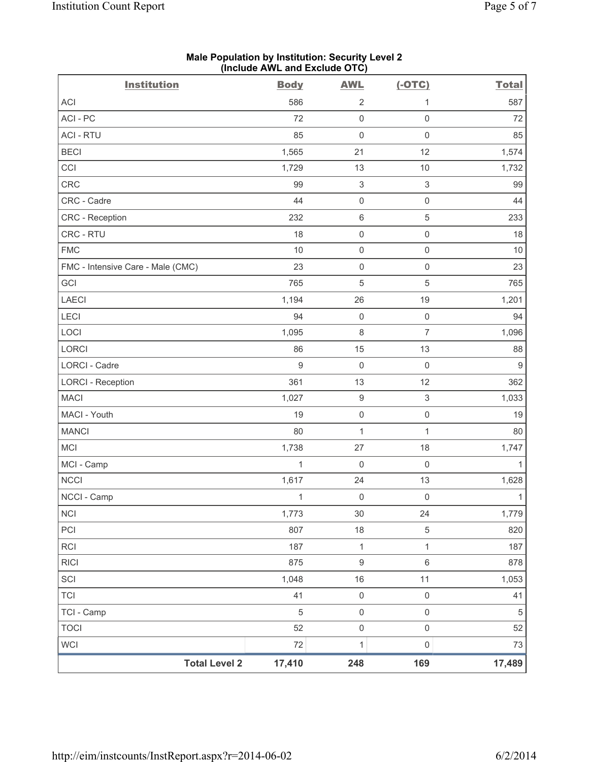| <b>Institution</b>                | <b>Body</b> | <b>AWL</b>                | $(-OTC)$                  | <b>Total</b>     |
|-----------------------------------|-------------|---------------------------|---------------------------|------------------|
| ACI                               | 586         | $\overline{2}$            | 1                         | 587              |
| ACI-PC                            | 72          | $\mathsf 0$               | $\mathsf 0$               | 72               |
| <b>ACI - RTU</b>                  | 85          | $\mathsf 0$               | $\mathsf 0$               | 85               |
| <b>BECI</b>                       | 1,565       | 21                        | 12                        | 1,574            |
| CCI                               | 1,729       | 13                        | 10                        | 1,732            |
| CRC                               | 99          | $\ensuremath{\mathsf{3}}$ | $\mathsf 3$               | 99               |
| CRC - Cadre                       | 44          | $\mathbf 0$               | $\mathsf{O}\xspace$       | 44               |
| CRC - Reception                   | 232         | $\,6\,$                   | $\,$ 5 $\,$               | 233              |
| CRC - RTU                         | 18          | $\mathsf{O}\xspace$       | $\mathsf{O}\xspace$       | 18               |
| <b>FMC</b>                        | $10$        | $\mathsf{O}\xspace$       | $\mathsf{O}\xspace$       | $10$             |
| FMC - Intensive Care - Male (CMC) | 23          | $\mathsf 0$               | $\mathsf{O}\xspace$       | 23               |
| GCI                               | 765         | 5                         | 5                         | 765              |
| <b>LAECI</b>                      | 1,194       | 26                        | 19                        | 1,201            |
| LECI                              | 94          | $\mathsf{O}\xspace$       | $\mathsf{O}\xspace$       | 94               |
| LOCI                              | 1,095       | $\,8\,$                   | $\overline{7}$            | 1,096            |
| LORCI                             | 86          | 15                        | 13                        | 88               |
| LORCI - Cadre                     | $9\,$       | $\mathbf 0$               | $\mathsf{O}\xspace$       | $\boldsymbol{9}$ |
| <b>LORCI - Reception</b>          | 361         | 13                        | 12                        | 362              |
| <b>MACI</b>                       | 1,027       | $\hbox{9}$                | $\ensuremath{\mathsf{3}}$ | 1,033            |
| MACI - Youth                      | 19          | $\mathsf 0$               | $\mathsf 0$               | 19               |
| <b>MANCI</b>                      | 80          | $\mathbf{1}$              | $\mathbf{1}$              | 80               |
| MCI                               | 1,738       | 27                        | 18                        | 1,747            |
| MCI - Camp                        | 1           | $\mathbf 0$               | $\mathsf{O}\xspace$       | 1                |
| <b>NCCI</b>                       | 1,617       | 24                        | 13                        | 1,628            |
| NCCI - Camp                       | 1           | $\mathsf{O}\xspace$       | $\mathsf{O}\xspace$       | $\mathbf{1}$     |
| <b>NCI</b>                        | 1,773       | 30                        | 24                        | 1,779            |
| PCI                               | 807         | 18                        | $\,$ 5 $\,$               | 820              |
| <b>RCI</b>                        | 187         | $\mathbf{1}$              | 1                         | 187              |
| <b>RICI</b>                       | 875         | $\hbox{9}$                | $\,6\,$                   | 878              |
| SCI                               | 1,048       | 16                        | 11                        | 1,053            |
| <b>TCI</b>                        | 41          | $\mathsf{O}\xspace$       | $\mathsf{O}\xspace$       | 41               |
| TCI - Camp                        | 5           | $\mathsf{O}\xspace$       | $\mathsf{O}\xspace$       | $\sqrt{5}$       |
| <b>TOCI</b>                       | 52          | $\mathsf{O}\xspace$       | $\mathsf{O}\xspace$       | 52               |
| <b>WCI</b>                        | 72          | $\mathbf 1$               | $\mathsf{O}\xspace$       | 73               |
| <b>Total Level 2</b>              | 17,410      | 248                       | 169                       | 17,489           |

## **Male Population by Institution: Security Level 2 (Include AWL and Exclude OTC)**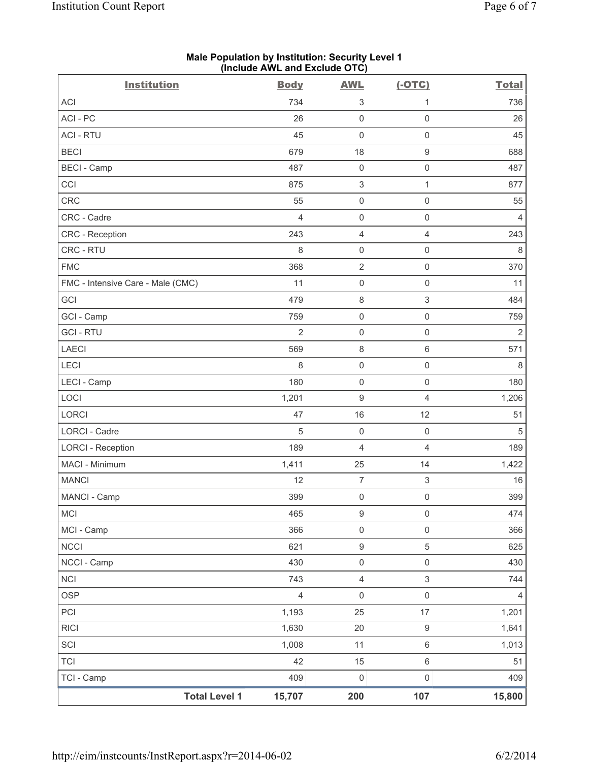| <b>Institution</b>                | <b>Body</b>    | <b>AWL</b>                | $(-OTC)$            | <b>Total</b>   |
|-----------------------------------|----------------|---------------------------|---------------------|----------------|
| ACI                               | 734            | 3                         | 1                   | 736            |
| ACI-PC                            | 26             | $\mathsf{O}\xspace$       | $\mathsf{O}\xspace$ | 26             |
| <b>ACI - RTU</b>                  | 45             | $\mathsf 0$               | $\mathsf{O}\xspace$ | 45             |
| <b>BECI</b>                       | 679            | 18                        | $\boldsymbol{9}$    | 688            |
| <b>BECI - Camp</b>                | 487            | $\mathsf 0$               | $\mathsf{O}\xspace$ | 487            |
| CCI                               | 875            | $\ensuremath{\mathsf{3}}$ | $\mathbf{1}$        | 877            |
| CRC                               | 55             | $\mathsf 0$               | $\mathsf{O}\xspace$ | 55             |
| CRC - Cadre                       | $\overline{4}$ | $\mathsf 0$               | $\mathsf 0$         | $\overline{4}$ |
| CRC - Reception                   | 243            | $\overline{4}$            | 4                   | 243            |
| CRC - RTU                         | 8              | $\mathsf 0$               | $\mathsf{O}\xspace$ | $\,8\,$        |
| <b>FMC</b>                        | 368            | $\mathbf 2$               | $\mathsf{O}\xspace$ | 370            |
| FMC - Intensive Care - Male (CMC) | 11             | $\mathsf{O}\xspace$       | $\mathsf{O}\xspace$ | 11             |
| GCI                               | 479            | $\,8\,$                   | 3                   | 484            |
| GCI - Camp                        | 759            | $\mathsf 0$               | $\mathsf 0$         | 759            |
| <b>GCI - RTU</b>                  | $\overline{2}$ | $\mathsf 0$               | $\mathsf 0$         | $\overline{2}$ |
| LAECI                             | 569            | $\,8\,$                   | $\,6\,$             | 571            |
| LECI                              | 8              | $\mathsf 0$               | $\mathsf{O}\xspace$ | $\,8\,$        |
| LECI - Camp                       | 180            | $\mathsf 0$               | $\mathsf{O}\xspace$ | 180            |
| LOCI                              | 1,201          | $\hbox{9}$                | $\overline{4}$      | 1,206          |
| LORCI                             | 47             | 16                        | 12                  | 51             |
| <b>LORCI - Cadre</b>              | 5              | $\mathsf 0$               | $\mathsf 0$         | $\sqrt{5}$     |
| <b>LORCI - Reception</b>          | 189            | 4                         | 4                   | 189            |
| MACI - Minimum                    | 1,411          | 25                        | 14                  | 1,422          |
| <b>MANCI</b>                      | 12             | $\boldsymbol{7}$          | 3                   | 16             |
| MANCI - Camp                      | 399            | 0                         | $\mathsf{O}\xspace$ | 399            |
| <b>MCI</b>                        | 465            | $\boldsymbol{9}$          | $\mathsf{O}\xspace$ | 474            |
| MCI - Camp                        | 366            | $\mathsf{O}\xspace$       | $\mathsf{O}\xspace$ | 366            |
| NCCI                              | 621            | $\boldsymbol{9}$          | $\sqrt{5}$          | 625            |
| NCCI - Camp                       | 430            | $\mathsf{O}\xspace$       | $\mathsf{O}\xspace$ | 430            |
| NCI                               | 743            | $\overline{4}$            | 3                   | 744            |
| <b>OSP</b>                        | $\overline{4}$ | $\mathsf 0$               | $\mathsf{O}\xspace$ | 4              |
| PCI                               | 1,193          | 25                        | 17                  | 1,201          |
| <b>RICI</b>                       | 1,630          | 20                        | $\boldsymbol{9}$    | 1,641          |
| SCI                               | 1,008          | 11                        | $\,6\,$             | 1,013          |
| TCI                               | 42             | 15                        | $\,6\,$             | 51             |
| TCI - Camp                        | 409            | $\mathsf{O}\xspace$       | $\mathsf{O}\xspace$ | 409            |
| <b>Total Level 1</b>              | 15,707         | 200                       | 107                 | 15,800         |

### **Male Population by Institution: Security Level 1 (Include AWL and Exclude OTC)**